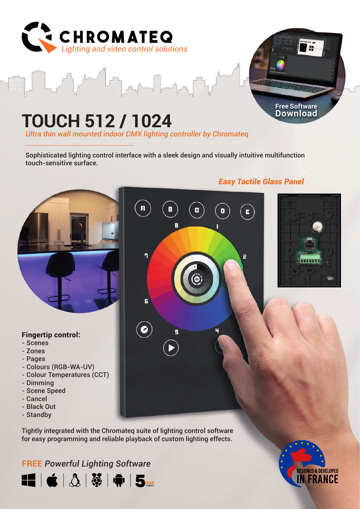

# **TOUCH 512 / 1024**

*Ultra thin wall mounted indoor DMX lighting controller by Chromateq*

Sophisticated lighting control interface with a sleek design and visually intuitive multifunction touch-sensitive surface.



Tightly integrated with the Chromateq suite of lighting control software for easy programming and reliable playback of custom lighting effects.

### **FREE** *Powerful Lighting Software*





### *Easy Tactile Glass Panel*

**Free Software Download**